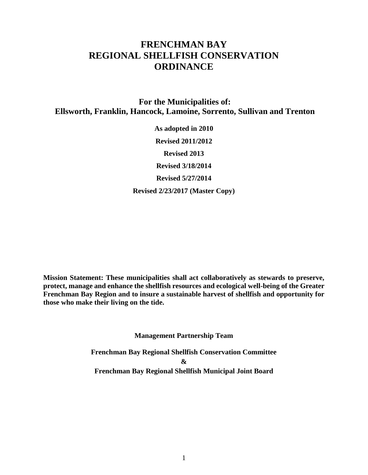# **FRENCHMAN BAY REGIONAL SHELLFISH CONSERVATION ORDINANCE**

**For the Municipalities of: Ellsworth, Franklin, Hancock, Lamoine, Sorrento, Sullivan and Trenton**

> **As adopted in 2010 Revised 2011/2012 Revised 2013 Revised 3/18/2014 Revised 5/27/2014 Revised 2/23/2017 (Master Copy)**

**Mission Statement: These municipalities shall act collaboratively as stewards to preserve, protect, manage and enhance the shellfish resources and ecological well-being of the Greater Frenchman Bay Region and to insure a sustainable harvest of shellfish and opportunity for those who make their living on the tide.**

**Management Partnership Team**

**Frenchman Bay Regional Shellfish Conservation Committee & Frenchman Bay Regional Shellfish Municipal Joint Board**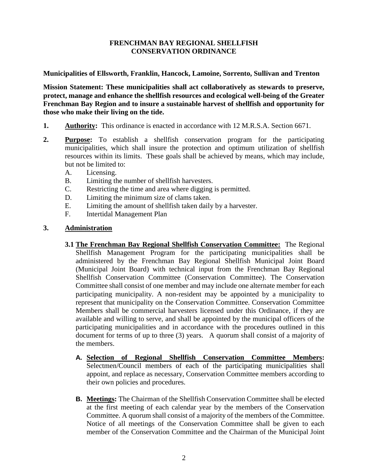### **FRENCHMAN BAY REGIONAL SHELLFISH CONSERVATION ORDINANCE**

**Municipalities of Ellsworth, Franklin, Hancock, Lamoine, Sorrento, Sullivan and Trenton**

**Mission Statement: These municipalities shall act collaboratively as stewards to preserve, protect, manage and enhance the shellfish resources and ecological well-being of the Greater Frenchman Bay Region and to insure a sustainable harvest of shellfish and opportunity for those who make their living on the tide.** 

- **1. Authority:** This ordinance is enacted in accordance with 12 M.R.S.A. Section 6671.
- **2. Purpose:** To establish a shellfish conservation program for the participating municipalities, which shall insure the protection and optimum utilization of shellfish resources within its limits. These goals shall be achieved by means, which may include, but not be limited to:
	- A. Licensing.
	- B. Limiting the number of shellfish harvesters.
	- C. Restricting the time and area where digging is permitted.
	- D. Limiting the minimum size of clams taken.
	- E. Limiting the amount of shellfish taken daily by a harvester.
	- F. Intertidal Management Plan

#### **3. Administration**

- **3.1 The Frenchman Bay Regional Shellfish Conservation Committee:** The Regional Shellfish Management Program for the participating municipalities shall be administered by the Frenchman Bay Regional Shellfish Municipal Joint Board (Municipal Joint Board) with technical input from the Frenchman Bay Regional Shellfish Conservation Committee (Conservation Committee). The Conservation Committee shall consist of one member and may include one alternate member for each participating municipality. A non-resident may be appointed by a municipality to represent that municipality on the Conservation Committee. Conservation Committee Members shall be commercial harvesters licensed under this Ordinance, if they are available and willing to serve, and shall be appointed by the municipal officers of the participating municipalities and in accordance with the procedures outlined in this document for terms of up to three (3) years. A quorum shall consist of a majority of the members.
	- **A. Selection of Regional Shellfish Conservation Committee Members:**  Selectmen/Council members of each of the participating municipalities shall appoint, and replace as necessary, Conservation Committee members according to their own policies and procedures.
	- **B. Meetings:** The Chairman of the Shellfish Conservation Committee shall be elected at the first meeting of each calendar year by the members of the Conservation Committee. A quorum shall consist of a majority of the members of the Committee. Notice of all meetings of the Conservation Committee shall be given to each member of the Conservation Committee and the Chairman of the Municipal Joint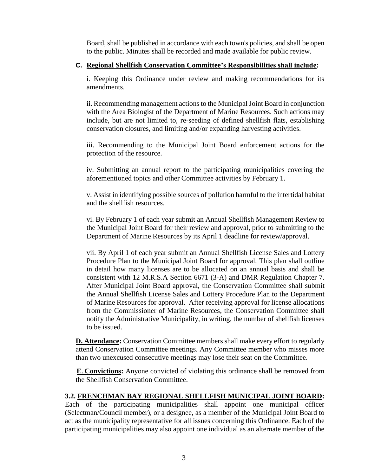Board, shall be published in accordance with each town's policies, and shall be open to the public. Minutes shall be recorded and made available for public review.

#### **C. Regional Shellfish Conservation Committee's Responsibilities shall include:**

i. Keeping this Ordinance under review and making recommendations for its amendments.

ii. Recommending management actions to the Municipal Joint Board in conjunction with the Area Biologist of the Department of Marine Resources. Such actions may include, but are not limited to, re-seeding of defined shellfish flats, establishing conservation closures, and limiting and/or expanding harvesting activities.

iii. Recommending to the Municipal Joint Board enforcement actions for the protection of the resource.

iv. Submitting an annual report to the participating municipalities covering the aforementioned topics and other Committee activities by February 1.

v. Assist in identifying possible sources of pollution harmful to the intertidal habitat and the shellfish resources.

vi. By February 1 of each year submit an Annual Shellfish Management Review to the Municipal Joint Board for their review and approval, prior to submitting to the Department of Marine Resources by its April 1 deadline for review/approval.

vii. By April 1 of each year submit an Annual Shellfish License Sales and Lottery Procedure Plan to the Municipal Joint Board for approval. This plan shall outline in detail how many licenses are to be allocated on an annual basis and shall be consistent with 12 M.R.S.A Section 6671 (3-A) and DMR Regulation Chapter 7. After Municipal Joint Board approval, the Conservation Committee shall submit the Annual Shellfish License Sales and Lottery Procedure Plan to the Department of Marine Resources for approval. After receiving approval for license allocations from the Commissioner of Marine Resources, the Conservation Committee shall notify the Administrative Municipality, in writing, the number of shellfish licenses to be issued.

**D. Attendance:** Conservation Committee members shall make every effort to regularly attend Conservation Committee meetings. Any Committee member who misses more than two unexcused consecutive meetings may lose their seat on the Committee.

**E. Convictions:** Anyone convicted of violating this ordinance shall be removed from the Shellfish Conservation Committee.

#### **3.2. FRENCHMAN BAY REGIONAL SHELLFISH MUNICIPAL JOINT BOARD:**

Each of the participating municipalities shall appoint one municipal officer (Selectman/Council member), or a designee, as a member of the Municipal Joint Board to act as the municipality representative for all issues concerning this Ordinance. Each of the participating municipalities may also appoint one individual as an alternate member of the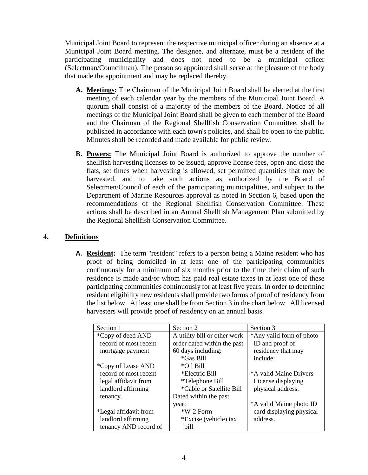Municipal Joint Board to represent the respective municipal officer during an absence at a Municipal Joint Board meeting. The designee, and alternate, must be a resident of the participating municipality and does not need to be a municipal officer (Selectman/Councilman). The person so appointed shall serve at the pleasure of the body that made the appointment and may be replaced thereby.

- **A. Meetings:** The Chairman of the Municipal Joint Board shall be elected at the first meeting of each calendar year by the members of the Municipal Joint Board. A quorum shall consist of a majority of the members of the Board. Notice of all meetings of the Municipal Joint Board shall be given to each member of the Board and the Chairman of the Regional Shellfish Conservation Committee, shall be published in accordance with each town's policies, and shall be open to the public. Minutes shall be recorded and made available for public review.
- **B. Powers:** The Municipal Joint Board is authorized to approve the number of shellfish harvesting licenses to be issued, approve license fees, open and close the flats, set times when harvesting is allowed, set permitted quantities that may be harvested, and to take such actions as authorized by the Board of Selectmen/Council of each of the participating municipalities, and subject to the Department of Marine Resources approval as noted in Section 6, based upon the recommendations of the Regional Shellfish Conservation Committee. These actions shall be described in an Annual Shellfish Management Plan submitted by the Regional Shellfish Conservation Committee.

# **4. Definitions**

**A. Resident:** The term "resident" refers to a person being a Maine resident who has proof of being domiciled in at least one of the participating communities continuously for a minimum of six months prior to the time their claim of such residence is made and/or whom has paid real estate taxes in at least one of these participating communities continuously for at least five years. In order to determine resident eligibility new residents shall provide two forms of proof of residency from the list below. At least one shall be from Section 3 in the chart below. All licensed harvesters will provide proof of residency on an annual basis.

| Section 1             | Section 2                    | Section 3                |  |
|-----------------------|------------------------------|--------------------------|--|
| *Copy of deed AND     | A utility bill or other work | *Any valid form of photo |  |
| record of most recent | order dated within the past  | ID and proof of          |  |
| mortgage payment      | 60 days including:           | residency that may       |  |
|                       | *Gas Bill                    | include:                 |  |
| *Copy of Lease AND    | *Oil Bill                    |                          |  |
| record of most recent | *Electric Bill               | *A valid Maine Drivers   |  |
| legal affidavit from  | *Telephone Bill              | License displaying       |  |
| landlord affirming    | *Cable or Satellite Bill     | physical address.        |  |
| tenancy.              | Dated within the past        |                          |  |
|                       | year:                        | *A valid Maine photo ID  |  |
| *Legal affidavit from | $*W-2$ Form                  | card displaying physical |  |
| landlord affirming    | *Excise (vehicle) tax        | address.                 |  |
| tenancy AND record of | bill                         |                          |  |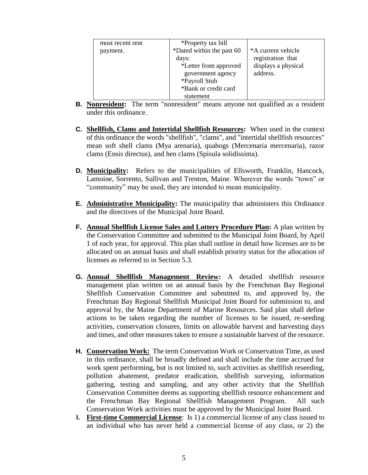| most recent rent | *Property tax bill        |                     |
|------------------|---------------------------|---------------------|
| payment.         | *Dated within the past 60 | *A current vehicle  |
|                  | days:                     | registration that   |
|                  | *Letter from approved     | displays a physical |
|                  | government agency         | address.            |
|                  | *Payroll Stub             |                     |
|                  | *Bank or credit card      |                     |
|                  | statement                 |                     |

- **B. Nonresident:** The term "nonresident" means anyone not qualified as a resident under this ordinance.
- **C. Shellfish, Clams and Intertidal Shellfish Resources:** When used in the context of this ordinance the words "shellfish", "clams", and "intertidal shellfish resources" mean soft shell clams (Mya arenaria), quahogs (Mercenaria mercenaria), razor clams (Ensis directus), and hen clams (Spisula solidissima).
- **D. Municipality:** Refers to the municipalities of Ellsworth, Franklin, Hancock, Lamoine, Sorrento, Sullivan and Trenton, Maine. Wherever the words "town" or "community" may be used, they are intended to mean municipality.
- **E. Administrative Municipality:** The municipality that administers this Ordinance and the directives of the Municipal Joint Board.
- **F. Annual Shellfish License Sales and Lottery Procedure Plan:** A plan written by the Conservation Committee and submitted to the Municipal Joint Board, by April 1 of each year, for approval. This plan shall outline in detail how licenses are to be allocated on an annual basis and shall establish priority status for the allocation of licenses as referred to in Section 5.3.
- **G. Annual Shellfish Management Review:** A detailed shellfish resource management plan written on an annual basis by the Frenchman Bay Regional Shellfish Conservation Committee and submitted to, and approved by, the Frenchman Bay Regional Shellfish Municipal Joint Board for submission to, and approval by, the Maine Department of Marine Resources. Said plan shall define actions to be taken regarding the number of licenses to be issued, re-seeding activities, conservation closures, limits on allowable harvest and harvesting days and times, and other measures taken to ensure a sustainable harvest of the resource.
- **H. Conservation Work:** The term Conservation Work or Conservation Time, as used in this ordinance, shall be broadly defined and shall include the time accrued for work spent performing, but is not limited to, such activities as shellfish reseeding, pollution abatement, predator eradication, shellfish surveying, information gathering, testing and sampling, and any other activity that the Shellfish Conservation Committee deems as supporting shellfish resource enhancement and the Frenchman Bay Regional Shellfish Management Program. All such Conservation Work activities must be approved by the Municipal Joint Board.
- **I. First-time Commercial License**: Is 1) a commercial license of any class issued to an individual who has never held a commercial license of any class, or 2) the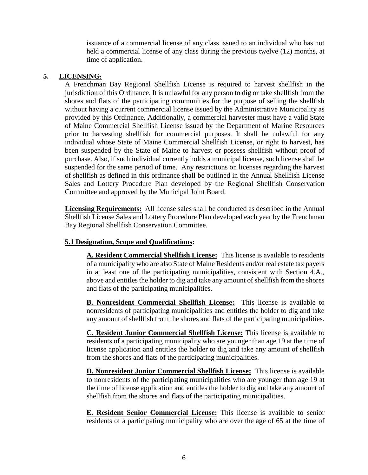issuance of a commercial license of any class issued to an individual who has not held a commercial license of any class during the previous twelve (12) months, at time of application.

#### **5. LICENSING:**

A Frenchman Bay Regional Shellfish License is required to harvest shellfish in the jurisdiction of this Ordinance. It is unlawful for any person to dig or take shellfish from the shores and flats of the participating communities for the purpose of selling the shellfish without having a current commercial license issued by the Administrative Municipality as provided by this Ordinance. Additionally, a commercial harvester must have a valid State of Maine Commercial Shellfish License issued by the Department of Marine Resources prior to harvesting shellfish for commercial purposes. It shall be unlawful for any individual whose State of Maine Commercial Shellfish License, or right to harvest, has been suspended by the State of Maine to harvest or possess shellfish without proof of purchase. Also, if such individual currently holds a municipal license, such license shall be suspended for the same period of time. Any restrictions on licenses regarding the harvest of shellfish as defined in this ordinance shall be outlined in the Annual Shellfish License Sales and Lottery Procedure Plan developed by the Regional Shellfish Conservation Committee and approved by the Municipal Joint Board.

**Licensing Requirements:** All license sales shall be conducted as described in the Annual Shellfish License Sales and Lottery Procedure Plan developed each year by the Frenchman Bay Regional Shellfish Conservation Committee.

# **5.1 Designation, Scope and Qualifications:**

**A. Resident Commercial Shellfish License:** This license is available to residents of a municipality who are also State of Maine Residents and/or real estate tax payers in at least one of the participating municipalities, consistent with Section 4.A., above and entitles the holder to dig and take any amount of shellfish from the shores and flats of the participating municipalities.

**B. Nonresident Commercial Shellfish License:** This license is available to nonresidents of participating municipalities and entitles the holder to dig and take any amount of shellfish from the shores and flats of the participating municipalities.

**C. Resident Junior Commercial Shellfish License:** This license is available to residents of a participating municipality who are younger than age 19 at the time of license application and entitles the holder to dig and take any amount of shellfish from the shores and flats of the participating municipalities.

**D. Nonresident Junior Commercial Shellfish License:** This license is available to nonresidents of the participating municipalities who are younger than age 19 at the time of license application and entitles the holder to dig and take any amount of shellfish from the shores and flats of the participating municipalities.

**E. Resident Senior Commercial License:** This license is available to senior residents of a participating municipality who are over the age of 65 at the time of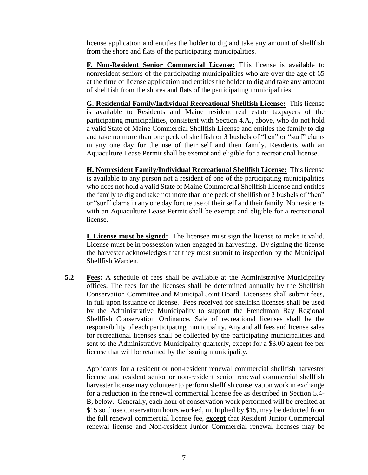license application and entitles the holder to dig and take any amount of shellfish from the shore and flats of the participating municipalities.

**F. Non-Resident Senior Commercial License:** This license is available to nonresident seniors of the participating municipalities who are over the age of 65 at the time of license application and entitles the holder to dig and take any amount of shellfish from the shores and flats of the participating municipalities.

**G. Residential Family/Individual Recreational Shellfish License:** This license is available to Residents and Maine resident real estate taxpayers of the participating municipalities, consistent with Section 4.A., above, who do not hold a valid State of Maine Commercial Shellfish License and entitles the family to dig and take no more than one peck of shellfish or 3 bushels of "hen" or "surf" clams in any one day for the use of their self and their family. Residents with an Aquaculture Lease Permit shall be exempt and eligible for a recreational license.

**H. Nonresident Family/Individual Recreational Shellfish License:** This license is available to any person not a resident of one of the participating municipalities who does not hold a valid State of Maine Commercial Shellfish License and entitles the family to dig and take not more than one peck of shellfish or 3 bushels of "hen" or "surf" clams in any one day for the use of their self and their family. Nonresidents with an Aquaculture Lease Permit shall be exempt and eligible for a recreational license.

**I. License must be signed:** The licensee must sign the license to make it valid. License must be in possession when engaged in harvesting. By signing the license the harvester acknowledges that they must submit to inspection by the Municipal Shellfish Warden.

**5.2 Fees:** A schedule of fees shall be available at the Administrative Municipality offices. The fees for the licenses shall be determined annually by the Shellfish Conservation Committee and Municipal Joint Board. Licensees shall submit fees, in full upon issuance of license. Fees received for shellfish licenses shall be used by the Administrative Municipality to support the Frenchman Bay Regional Shellfish Conservation Ordinance. Sale of recreational licenses shall be the responsibility of each participating municipality. Any and all fees and license sales for recreational licenses shall be collected by the participating municipalities and sent to the Administrative Municipality quarterly, except for a \$3.00 agent fee per license that will be retained by the issuing municipality.

Applicants for a resident or non-resident renewal commercial shellfish harvester license and resident senior or non-resident senior renewal commercial shellfish harvester license may volunteer to perform shellfish conservation work in exchange for a reduction in the renewal commercial license fee as described in Section 5.4- B, below. Generally, each hour of conservation work performed will be credited at \$15 so those conservation hours worked, multiplied by \$15, may be deducted from the full renewal commercial license fee, **except** that Resident Junior Commercial renewal license and Non-resident Junior Commercial renewal licenses may be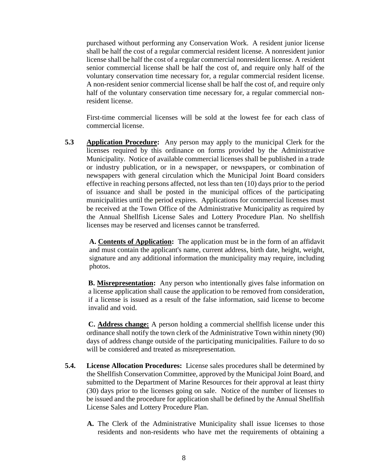purchased without performing any Conservation Work. A resident junior license shall be half the cost of a regular commercial resident license. A nonresident junior license shall be half the cost of a regular commercial nonresident license. A resident senior commercial license shall be half the cost of, and require only half of the voluntary conservation time necessary for, a regular commercial resident license. A non-resident senior commercial license shall be half the cost of, and require only half of the voluntary conservation time necessary for, a regular commercial nonresident license.

First-time commercial licenses will be sold at the lowest fee for each class of commercial license.

**5.3 Application Procedure:** Any person may apply to the municipal Clerk for the licenses required by this ordinance on forms provided by the Administrative Municipality. Notice of available commercial licenses shall be published in a trade or industry publication, or in a newspaper, or newspapers, or combination of newspapers with general circulation which the Municipal Joint Board considers effective in reaching persons affected, not less than ten (10) days prior to the period of issuance and shall be posted in the municipal offices of the participating municipalities until the period expires. Applications for commercial licenses must be received at the Town Office of the Administrative Municipality as required by the Annual Shellfish License Sales and Lottery Procedure Plan. No shellfish licenses may be reserved and licenses cannot be transferred.

**A. Contents of Application:** The application must be in the form of an affidavit and must contain the applicant's name, current address, birth date, height, weight, signature and any additional information the municipality may require, including photos.

**B. Misrepresentation:** Any person who intentionally gives false information on a license application shall cause the application to be removed from consideration, if a license is issued as a result of the false information, said license to become invalid and void.

**C. Address change:** A person holding a commercial shellfish license under this ordinance shall notify the town clerk of the Administrative Town within ninety (90) days of address change outside of the participating municipalities. Failure to do so will be considered and treated as misrepresentation.

- **5.4. License Allocation Procedures:** License sales procedures shall be determined by the Shellfish Conservation Committee, approved by the Municipal Joint Board, and submitted to the Department of Marine Resources for their approval at least thirty (30) days prior to the licenses going on sale. Notice of the number of licenses to be issued and the procedure for application shall be defined by the Annual Shellfish License Sales and Lottery Procedure Plan.
	- **A.** The Clerk of the Administrative Municipality shall issue licenses to those residents and non-residents who have met the requirements of obtaining a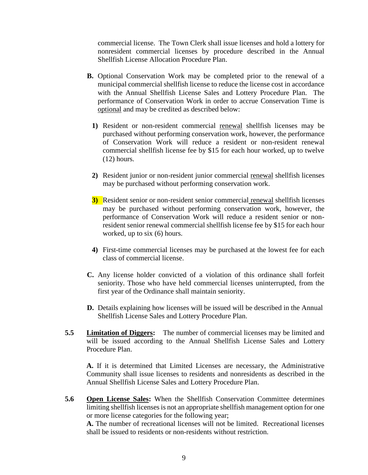commercial license. The Town Clerk shall issue licenses and hold a lottery for nonresident commercial licenses by procedure described in the Annual Shellfish License Allocation Procedure Plan.

- **B.** Optional Conservation Work may be completed prior to the renewal of a municipal commercial shellfish license to reduce the license cost in accordance with the Annual Shellfish License Sales and Lottery Procedure Plan. The performance of Conservation Work in order to accrue Conservation Time is optional and may be credited as described below:
	- **1)** Resident or non-resident commercial renewal shellfish licenses may be purchased without performing conservation work, however, the performance of Conservation Work will reduce a resident or non-resident renewal commercial shellfish license fee by \$15 for each hour worked, up to twelve (12) hours.
	- **2)** Resident junior or non-resident junior commercial renewal shellfish licenses may be purchased without performing conservation work.
	- **3)** Resident senior or non-resident senior commercial renewal shellfish licenses may be purchased without performing conservation work, however, the performance of Conservation Work will reduce a resident senior or nonresident senior renewal commercial shellfish license fee by \$15 for each hour worked, up to six (6) hours.
	- **4)** First-time commercial licenses may be purchased at the lowest fee for each class of commercial license.
- **C.** Any license holder convicted of a violation of this ordinance shall forfeit seniority. Those who have held commercial licenses uninterrupted, from the first year of the Ordinance shall maintain seniority.
- **D.** Details explaining how licenses will be issued will be described in the Annual Shellfish License Sales and Lottery Procedure Plan.
- **5.5 Limitation of Diggers:** The number of commercial licenses may be limited and will be issued according to the Annual Shellfish License Sales and Lottery Procedure Plan.

**A.** If it is determined that Limited Licenses are necessary, the Administrative Community shall issue licenses to residents and nonresidents as described in the Annual Shellfish License Sales and Lottery Procedure Plan.

**5.6 Open License Sales:** When the Shellfish Conservation Committee determines limiting shellfish licenses is not an appropriate shellfish management option for one or more license categories for the following year;

**A.** The number of recreational licenses will not be limited. Recreational licenses shall be issued to residents or non-residents without restriction.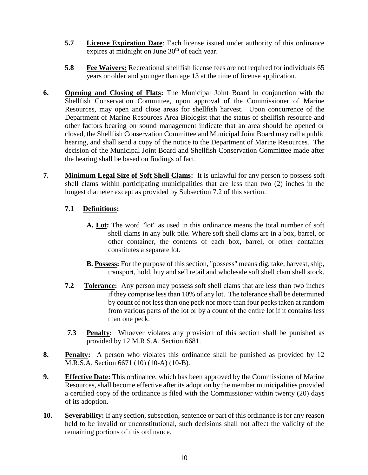- **5.7 License Expiration Date**: Each license issued under authority of this ordinance expires at midnight on June 30<sup>th</sup> of each year.
- **5.8 Fee Waivers:** Recreational shellfish license fees are not required for individuals 65 years or older and younger than age 13 at the time of license application*.*
- **6. Opening and Closing of Flats:** The Municipal Joint Board in conjunction with the Shellfish Conservation Committee, upon approval of the Commissioner of Marine Resources, may open and close areas for shellfish harvest. Upon concurrence of the Department of Marine Resources Area Biologist that the status of shellfish resource and other factors bearing on sound management indicate that an area should be opened or closed, the Shellfish Conservation Committee and Municipal Joint Board may call a public hearing, and shall send a copy of the notice to the Department of Marine Resources. The decision of the Municipal Joint Board and Shellfish Conservation Committee made after the hearing shall be based on findings of fact.
- **7. Minimum Legal Size of Soft Shell Clams:** It is unlawful for any person to possess soft shell clams within participating municipalities that are less than two (2) inches in the longest diameter except as provided by Subsection 7.2 of this section.

# **7.1 Definitions:**

- **A. Lot:** The word "lot" as used in this ordinance means the total number of soft shell clams in any bulk pile. Where soft shell clams are in a box, barrel, or other container, the contents of each box, barrel, or other container constitutes a separate lot.
- **B. Possess:** For the purpose of this section, "possess" means dig, take, harvest, ship, transport, hold, buy and sell retail and wholesale soft shell clam shell stock.
- **7.2 Tolerance:** Any person may possess soft shell clams that are less than two inches if they comprise less than 10% of any lot. The tolerance shall be determined by count of not less than one peck nor more than four pecks taken at random from various parts of the lot or by a count of the entire lot if it contains less than one peck.
- **7.3 Penalty:** Whoever violates any provision of this section shall be punished as provided by 12 M.R.S.A. Section 6681.
- **8. Penalty:** A person who violates this ordinance shall be punished as provided by 12 M.R.S.A. Section 6671 (10) (10-A) (10-B).
- **9. Effective Date:** This ordinance, which has been approved by the Commissioner of Marine Resources, shall become effective after its adoption by the member municipalities provided a certified copy of the ordinance is filed with the Commissioner within twenty (20) days of its adoption.
- **10. Severability:** If any section, subsection, sentence or part of this ordinance is for any reason held to be invalid or unconstitutional, such decisions shall not affect the validity of the remaining portions of this ordinance.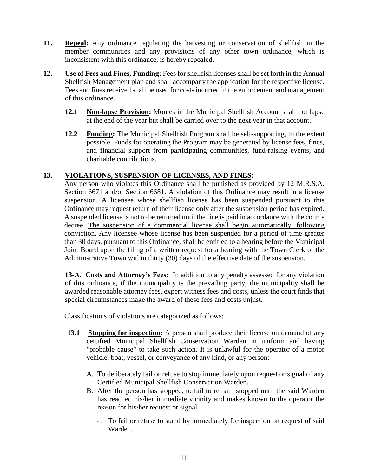- **11. Repeal:** Any ordinance regulating the harvesting or conservation of shellfish in the member communities and any provisions of any other town ordinance, which is inconsistent with this ordinance, is hereby repealed.
- **12. Use of Fees and Fines, Funding:** Fees for shellfish licenses shall be set forth in the Annual Shellfish Management plan and shall accompany the application for the respective license. Fees and fines received shall be used for costs incurred in the enforcement and management of this ordinance.
	- **12.1 Non-lapse Provision:** Monies in the Municipal Shellfish Account shall not lapse at the end of the year but shall be carried over to the next year in that account.
	- **12.2 Funding:** The Municipal Shellfish Program shall be self-supporting, to the extent possible. Funds for operating the Program may be generated by license fees, fines, and financial support from participating communities, fund-raising events, and charitable contributions.

# **13. VIOLATIONS, SUSPENSION OF LICENSES, AND FINES:**

Any person who violates this Ordinance shall be punished as provided by 12 M.R.S.A. Section 6671 and/or Section 6681. A violation of this Ordinance may result in a license suspension. A licensee whose shellfish license has been suspended pursuant to this Ordinance may request return of their license only after the suspension period has expired. A suspended license is not to be returned until the fine is paid in accordance with the court's decree. The suspension of a commercial license shall begin automatically, following conviction. Any licensee whose license has been suspended for a period of time greater than 30 days, pursuant to this Ordinance, shall be entitled to a hearing before the Municipal Joint Board upon the filing of a written request for a hearing with the Town Clerk of the Administrative Town within thirty (30) days of the effective date of the suspension.

**13-A. Costs and Attorney's Fees:** In addition to any penalty assessed for any violation of this ordinance, if the municipality is the prevailing party, the municipality shall be awarded reasonable attorney fees, expert witness fees and costs, unless the court finds that special circumstances make the award of these fees and costs unjust.

Classifications of violations are categorized as follows:

- **13.1** Stopping for inspection: A person shall produce their license on demand of any certified Municipal Shellfish Conservation Warden in uniform and having "probable cause" to take such action. It is unlawful for the operator of a motor vehicle, boat, vessel, or conveyance of any kind, or any person:
	- A. To deliberately fail or refuse to stop immediately upon request or signal of any Certified Municipal Shellfish Conservation Warden.
	- B. After the person has stopped, to fail to remain stopped until the said Warden has reached his/her immediate vicinity and makes known to the operator the reason for his/her request or signal.
		- C. To fail or refuse to stand by immediately for inspection on request of said Warden.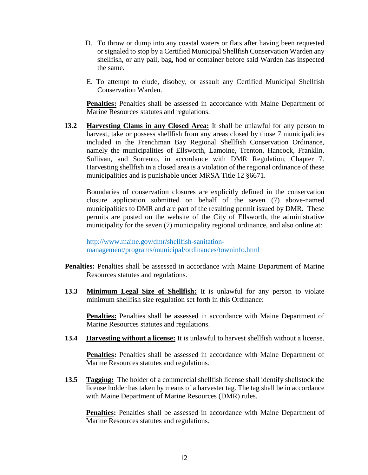- D. To throw or dump into any coastal waters or flats after having been requested or signaled to stop by a Certified Municipal Shellfish Conservation Warden any shellfish, or any pail, bag, hod or container before said Warden has inspected the same.
- E. To attempt to elude, disobey, or assault any Certified Municipal Shellfish Conservation Warden.

**Penalties:** Penalties shall be assessed in accordance with Maine Department of Marine Resources statutes and regulations.

**13.2 Harvesting Clams in any Closed Area:** It shall be unlawful for any person to harvest, take or possess shellfish from any areas closed by those 7 municipalities included in the Frenchman Bay Regional Shellfish Conservation Ordinance, namely the municipalities of Ellsworth, Lamoine, Trenton, Hancock, Franklin, Sullivan, and Sorrento, in accordance with DMR Regulation, Chapter 7. Harvesting shellfish in a closed area is a violation of the regional ordinance of these municipalities and is punishable under MRSA Title 12 §6671.

Boundaries of conservation closures are explicitly defined in the conservation closure application submitted on behalf of the seven (7) above-named municipalities to DMR and are part of the resulting permit issued by DMR. These permits are posted on the website of the City of Ellsworth, the administrative municipality for the seven (7) municipality regional ordinance, and also online at:

http://www.maine.gov/dmr/shellfish-sanitationmanagement/programs/municipal/ordinances/towninfo.html

- Penalties: Penalties shall be assessed in accordance with Maine Department of Marine Resources statutes and regulations.
- **13.3 Minimum Legal Size of Shellfish:** It is unlawful for any person to violate minimum shellfish size regulation set forth in this Ordinance:

**Penalties:** Penalties shall be assessed in accordance with Maine Department of Marine Resources statutes and regulations.

**13.4 Harvesting without a license:** It is unlawful to harvest shellfish without a license.

**Penalties:** Penalties shall be assessed in accordance with Maine Department of Marine Resources statutes and regulations.

**13.5 Tagging:** The holder of a commercial shellfish license shall identify shellstock the license holder has taken by means of a harvester tag. The tag shall be in accordance with Maine Department of Marine Resources (DMR) rules.

**Penalties:** Penalties shall be assessed in accordance with Maine Department of Marine Resources statutes and regulations.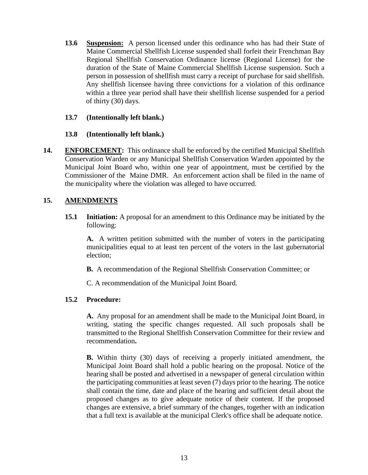**13.6 Suspension:** A person licensed under this ordinance who has had their State of Maine Commercial Shellfish License suspended shall forfeit their Frenchman Bay Regional Shellfish Conservation Ordinance license (Regional License) for the duration of the State of Maine Commercial Shellfish License suspension. Such a person in possession of shellfish must carry a receipt of purchase for said shellfish. Any shellfish licensee having three convictions for a violation of this ordinance within a three year period shall have their shellfish license suspended for a period of thirty (30) days.

#### **13.7 (Intentionally left blank.)**

#### **13.8 (Intentionally left blank.)**

**14. ENFORCEMENT:** This ordinance shall be enforced by the certified Municipal Shellfish Conservation Warden or any Municipal Shellfish Conservation Warden appointed by the Municipal Joint Board who, within one year of appointment, must be certified by the Commissioner of the Maine DMR. An enforcement action shall be filed in the name of the municipality where the violation was alleged to have occurred.

# **15. AMENDMENTS**

**15.1 Initiation:** A proposal for an amendment to this Ordinance may be initiated by the following:

**A.** A written petition submitted with the number of voters in the participating municipalities equal to at least ten percent of the voters in the last gubernatorial election;

**B.** A recommendation of the Regional Shellfish Conservation Committee; or

C. A recommendation of the Municipal Joint Board.

# **15.2 Procedure:**

**A.** Any proposal for an amendment shall be made to the Municipal Joint Board, in writing, stating the specific changes requested. All such proposals shall be transmitted to the Regional Shellfish Conservation Committee for their review and recommendation**.**

**B.** Within thirty (30) days of receiving a properly initiated amendment, the Municipal Joint Board shall hold a public hearing on the proposal. Notice of the hearing shall be posted and advertised in a newspaper of general circulation within the participating communities at least seven (7) days prior to the hearing. The notice shall contain the time, date and place of the hearing and sufficient detail about the proposed changes as to give adequate notice of their content. If the proposed changes are extensive, a brief summary of the changes, together with an indication that a full text is available at the municipal Clerk's office shall be adequate notice.